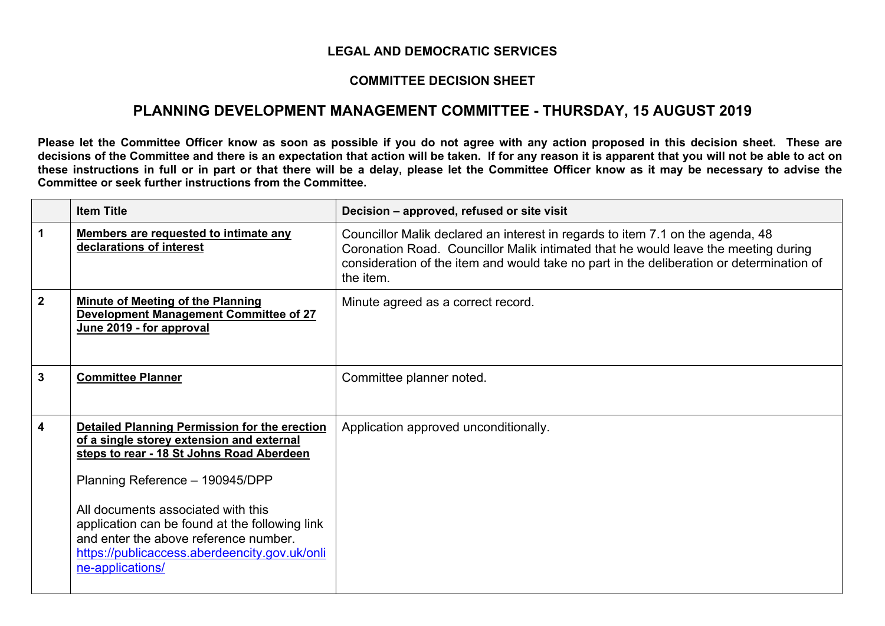## **LEGAL AND DEMOCRATIC SERVICES**

## **COMMITTEE DECISION SHEET**

## **PLANNING DEVELOPMENT MANAGEMENT COMMITTEE - THURSDAY, 15 AUGUST 2019**

Please let the Committee Officer know as soon as possible if you do not agree with any action proposed in this decision sheet. These are decisions of the Committee and there is an expectation that action will be taken. If for any reason it is apparent that you will not be able to act on these instructions in full or in part or that there will be a delay, please let the Committee Officer know as it may be necessary to advise the **Committee or seek further instructions from the Committee.**

|             | <b>Item Title</b>                                                                                                                                                                                                                                                                                                                                                                       | Decision - approved, refused or site visit                                                                                                                                                                                                                                    |
|-------------|-----------------------------------------------------------------------------------------------------------------------------------------------------------------------------------------------------------------------------------------------------------------------------------------------------------------------------------------------------------------------------------------|-------------------------------------------------------------------------------------------------------------------------------------------------------------------------------------------------------------------------------------------------------------------------------|
| 1           | Members are requested to intimate any<br>declarations of interest                                                                                                                                                                                                                                                                                                                       | Councillor Malik declared an interest in regards to item 7.1 on the agenda, 48<br>Coronation Road. Councillor Malik intimated that he would leave the meeting during<br>consideration of the item and would take no part in the deliberation or determination of<br>the item. |
| $\mathbf 2$ | <b>Minute of Meeting of the Planning</b><br><b>Development Management Committee of 27</b><br>June 2019 - for approval                                                                                                                                                                                                                                                                   | Minute agreed as a correct record.                                                                                                                                                                                                                                            |
| 3           | <b>Committee Planner</b>                                                                                                                                                                                                                                                                                                                                                                | Committee planner noted.                                                                                                                                                                                                                                                      |
| 4           | <b>Detailed Planning Permission for the erection</b><br>of a single storey extension and external<br>steps to rear - 18 St Johns Road Aberdeen<br>Planning Reference - 190945/DPP<br>All documents associated with this<br>application can be found at the following link<br>and enter the above reference number.<br>https://publicaccess.aberdeencity.gov.uk/onli<br>ne-applications/ | Application approved unconditionally.                                                                                                                                                                                                                                         |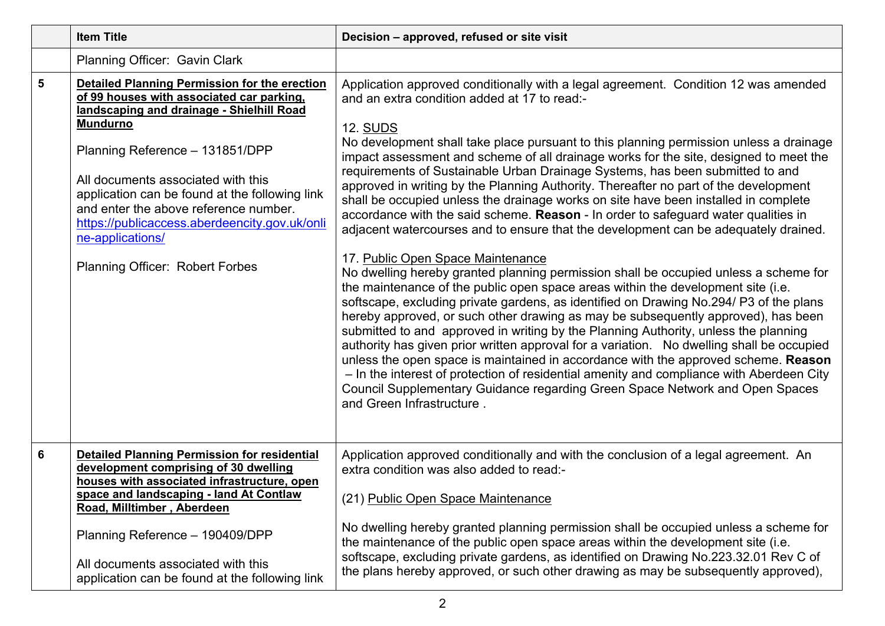|                         | <b>Item Title</b>                                                                                                                                                                                                                                                                                                                                                                                                                      | Decision - approved, refused or site visit                                                                                                                                                                                                                                                                                                                                                                                                                                                                                                                                                                                                                                                                                                                                                                                                                                                                                                                                                                                                                                                                                                                                                                                                                                                                                                                                                                                                                                                                                                                                                                                                                                |
|-------------------------|----------------------------------------------------------------------------------------------------------------------------------------------------------------------------------------------------------------------------------------------------------------------------------------------------------------------------------------------------------------------------------------------------------------------------------------|---------------------------------------------------------------------------------------------------------------------------------------------------------------------------------------------------------------------------------------------------------------------------------------------------------------------------------------------------------------------------------------------------------------------------------------------------------------------------------------------------------------------------------------------------------------------------------------------------------------------------------------------------------------------------------------------------------------------------------------------------------------------------------------------------------------------------------------------------------------------------------------------------------------------------------------------------------------------------------------------------------------------------------------------------------------------------------------------------------------------------------------------------------------------------------------------------------------------------------------------------------------------------------------------------------------------------------------------------------------------------------------------------------------------------------------------------------------------------------------------------------------------------------------------------------------------------------------------------------------------------------------------------------------------------|
|                         | Planning Officer: Gavin Clark                                                                                                                                                                                                                                                                                                                                                                                                          |                                                                                                                                                                                                                                                                                                                                                                                                                                                                                                                                                                                                                                                                                                                                                                                                                                                                                                                                                                                                                                                                                                                                                                                                                                                                                                                                                                                                                                                                                                                                                                                                                                                                           |
| $\overline{\mathbf{5}}$ | Detailed Planning Permission for the erection<br>of 99 houses with associated car parking,<br>landscaping and drainage - Shielhill Road<br><b>Mundurno</b><br>Planning Reference - 131851/DPP<br>All documents associated with this<br>application can be found at the following link<br>and enter the above reference number.<br>https://publicaccess.aberdeencity.gov.uk/onli<br>ne-applications/<br>Planning Officer: Robert Forbes | Application approved conditionally with a legal agreement. Condition 12 was amended<br>and an extra condition added at 17 to read:-<br><b>12. SUDS</b><br>No development shall take place pursuant to this planning permission unless a drainage<br>impact assessment and scheme of all drainage works for the site, designed to meet the<br>requirements of Sustainable Urban Drainage Systems, has been submitted to and<br>approved in writing by the Planning Authority. Thereafter no part of the development<br>shall be occupied unless the drainage works on site have been installed in complete<br>accordance with the said scheme. Reason - In order to safeguard water qualities in<br>adjacent watercourses and to ensure that the development can be adequately drained.<br>17. Public Open Space Maintenance<br>No dwelling hereby granted planning permission shall be occupied unless a scheme for<br>the maintenance of the public open space areas within the development site (i.e.<br>softscape, excluding private gardens, as identified on Drawing No.294/ P3 of the plans<br>hereby approved, or such other drawing as may be subsequently approved), has been<br>submitted to and approved in writing by the Planning Authority, unless the planning<br>authority has given prior written approval for a variation. No dwelling shall be occupied<br>unless the open space is maintained in accordance with the approved scheme. Reason<br>- In the interest of protection of residential amenity and compliance with Aberdeen City<br>Council Supplementary Guidance regarding Green Space Network and Open Spaces<br>and Green Infrastructure. |
| 6                       | <b>Detailed Planning Permission for residential</b><br>development comprising of 30 dwelling<br>houses with associated infrastructure, open<br>space and landscaping - land At Contlaw<br>Road, Milltimber, Aberdeen<br>Planning Reference - 190409/DPP<br>All documents associated with this<br>application can be found at the following link                                                                                        | Application approved conditionally and with the conclusion of a legal agreement. An<br>extra condition was also added to read:-<br>(21) Public Open Space Maintenance<br>No dwelling hereby granted planning permission shall be occupied unless a scheme for<br>the maintenance of the public open space areas within the development site (i.e.<br>softscape, excluding private gardens, as identified on Drawing No.223.32.01 Rev C of<br>the plans hereby approved, or such other drawing as may be subsequently approved),                                                                                                                                                                                                                                                                                                                                                                                                                                                                                                                                                                                                                                                                                                                                                                                                                                                                                                                                                                                                                                                                                                                                           |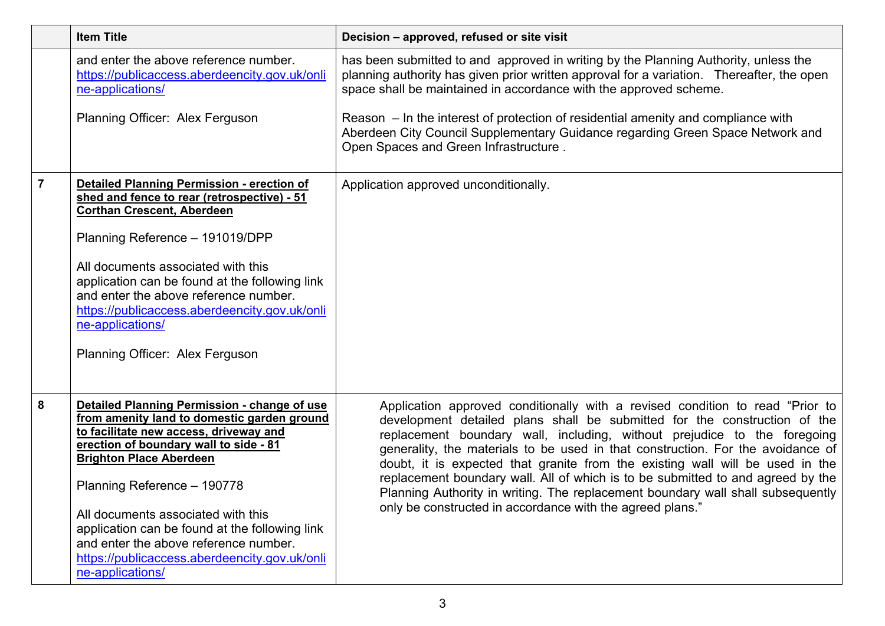|                | <b>Item Title</b>                                                                                                                                                                                                                                                                                                                                                                                                                                      | Decision - approved, refused or site visit                                                                                                                                                                                                                                                                                                                                                                                                                                                                                                                                                                                                    |
|----------------|--------------------------------------------------------------------------------------------------------------------------------------------------------------------------------------------------------------------------------------------------------------------------------------------------------------------------------------------------------------------------------------------------------------------------------------------------------|-----------------------------------------------------------------------------------------------------------------------------------------------------------------------------------------------------------------------------------------------------------------------------------------------------------------------------------------------------------------------------------------------------------------------------------------------------------------------------------------------------------------------------------------------------------------------------------------------------------------------------------------------|
|                | and enter the above reference number.<br>https://publicaccess.aberdeencity.gov.uk/onli<br>ne-applications/                                                                                                                                                                                                                                                                                                                                             | has been submitted to and approved in writing by the Planning Authority, unless the<br>planning authority has given prior written approval for a variation. Thereafter, the open<br>space shall be maintained in accordance with the approved scheme.                                                                                                                                                                                                                                                                                                                                                                                         |
|                | Planning Officer: Alex Ferguson                                                                                                                                                                                                                                                                                                                                                                                                                        | Reason $-$ In the interest of protection of residential amenity and compliance with<br>Aberdeen City Council Supplementary Guidance regarding Green Space Network and<br>Open Spaces and Green Infrastructure.                                                                                                                                                                                                                                                                                                                                                                                                                                |
| $\overline{7}$ | <b>Detailed Planning Permission - erection of</b><br>shed and fence to rear (retrospective) - 51<br><b>Corthan Crescent, Aberdeen</b><br>Planning Reference - 191019/DPP<br>All documents associated with this<br>application can be found at the following link<br>and enter the above reference number.<br>https://publicaccess.aberdeencity.gov.uk/onli<br>ne-applications/<br>Planning Officer: Alex Ferguson                                      | Application approved unconditionally.                                                                                                                                                                                                                                                                                                                                                                                                                                                                                                                                                                                                         |
| 8              | Detailed Planning Permission - change of use<br>from amenity land to domestic garden ground<br>to facilitate new access, driveway and<br>erection of boundary wall to side - 81<br><b>Brighton Place Aberdeen</b><br>Planning Reference - 190778<br>All documents associated with this<br>application can be found at the following link<br>and enter the above reference number.<br>https://publicaccess.aberdeencity.gov.uk/onli<br>ne-applications/ | Application approved conditionally with a revised condition to read "Prior to<br>development detailed plans shall be submitted for the construction of the<br>replacement boundary wall, including, without prejudice to the foregoing<br>generality, the materials to be used in that construction. For the avoidance of<br>doubt, it is expected that granite from the existing wall will be used in the<br>replacement boundary wall. All of which is to be submitted to and agreed by the<br>Planning Authority in writing. The replacement boundary wall shall subsequently<br>only be constructed in accordance with the agreed plans." |